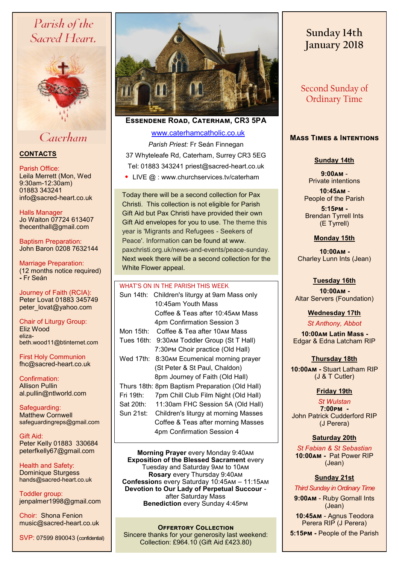# Parish of the Sacred Heart.



# Caterham

### **CONTACTS**

Parish Office: Leila Merrett (Mon, Wed

9:30am-12:30am) 01883 343241 info@sacred-heart.co.uk

Halls Manager Jo Waiton 07724 613407 thecenthall@gmail.com

Baptism Preparation: John Baron 0208 7632144

Marriage Preparation: (12 months notice required) **-** Fr Seán

Journey of Faith (RCIA): Peter Lovat 01883 345749 peter\_lovat@yahoo.com

Chair of Liturgy Group: Eliz Wood elizabeth.wood11@btinternet.com

First Holy Communion fhc@sacred-heart.co.uk

Confirmation: Allison Pullin al.pullin@ntlworld.com

Safeguarding: Matthew Cornwell safeguardingreps@gmail.com

Gift Aid: Peter Kelly 01883 330684 peterfkelly67@gmail.com

Health and Safety: Dominique Sturgess hands@sacred-heart.co.uk

Toddler group: jenpalmer1998@gmail.com

Choir: Shona Fenion music@sacred-heart.co.uk

SVP: 07599 890043 (confidential)



**Essendene Road, Caterham, CR3 5PA**

[www.caterhamcatholic.co.uk](http://Www.caterhamcatholic.co.uk)

*Parish Priest:* Fr Seán Finnegan 37 Whyteleafe Rd, Caterham, Surrey CR3 5EG Tel: 01883 343241 priest@sacred-heart.co.uk • LIVE @ : www.churchservices.tv/caterham

Today there will be a second collection for Pax Christi. This collection is not eligible for Parish Gift Aid but Pax Christi have provided their own Gift Aid envelopes for you to use. The theme this year is 'Migrants and Refugees - Seekers of Peace'. Information can be found at www. paxchristi.org.uk/news-and-events/peace-sunday. Next week there will be a second collection for the White Flower appeal.

#### WHAT'S ON IN THE PARISH THIS WEEK.

| Sun 14th:               | Children's liturgy at 9am Mass only            |
|-------------------------|------------------------------------------------|
|                         | 10:45am Youth Mass                             |
|                         | Coffee & Teas after 10:45 м Mass               |
|                         | 4pm Confirmation Session 3                     |
| Mon 15th: $\frac{1}{2}$ | Coffee & Tea after 10AM Mass                   |
| Tues 16th:              | 9:30AM Toddler Group (St T Hall)               |
|                         | 7:30PM Choir practice (Old Hall)               |
| Wed 17th:               | 8:30AM Ecumenical morning prayer               |
|                         | (St Peter & St Paul, Chaldon)                  |
|                         | 8pm Journey of Faith (Old Hall)                |
|                         | Thurs 18th: 8pm Baptism Preparation (Old Hall) |
| Fri 19th:               | 7pm Chill Club Film Night (Old Hall)           |
| Sat 20th:               | 11:30am FHC Session 5A (Old Hall)              |
| Sun 21st:               | Children's liturgy at morning Masses           |
|                         | Coffee & Teas after morning Masses             |
|                         | 4pm Confirmation Session 4                     |
|                         |                                                |

**Morning Prayer** every Monday 9:40am **Exposition of the Blessed Sacrament every** Tuesday and Saturday 9am to 10am **Rosary** every Thursday 9:40am **Confession**s every Saturday 10:45am – 11:15am **Devotion to Our Lady of Perpetual Succour**  after Saturday Mass **Benediction** every Sunday 4:45pm

**OFFERTORY COLLECTION** Sincere thanks for your generosity last weekend: Collection: £964.10 (Gift Aid £423.80)

# **Sunday 14th January 2018**

Second Sunday of Ordinary Time

# **Mass Times & Intentions**

#### **Sunday 14th**

**9:00am** - Private intentions

.**10:45am** - People of the Parish

. **5:15pm -** Brendan Tyrrell Ints (E Tyrrell)

#### **Monday 15th**

.**10:00am -**  Charley Lunn Ints (Jean)

**Tuesday 16th**  . .**10:00am -** Altar Servers (Foundation)

## **Wednesday 17th**

*St Anthony, Abbot*

 .**10:00am Latin Mass -** Edgar & Edna Latcham RIP

#### **Thursday 18th**

**10:00am -** Stuart Latham RIP (J & T Cutler)

## **Friday 19th**

. *St Wulstan* **7:00pm -**  John Patrick Cudderford RIP (J Perera)

#### **Saturday 20th**

. *St Fabian & St Sebastian* **10:00am -** Pat Power RIP (Jean)

# **Sunday 21st**

. *Third Sunday in Ordinary Time*

**9:00am** - Ruby Gornall Ints (Jean)

.**10:45am** - Agnus Teodora Perera RIP (J Perera)

**5:15pm -** People of the Parish